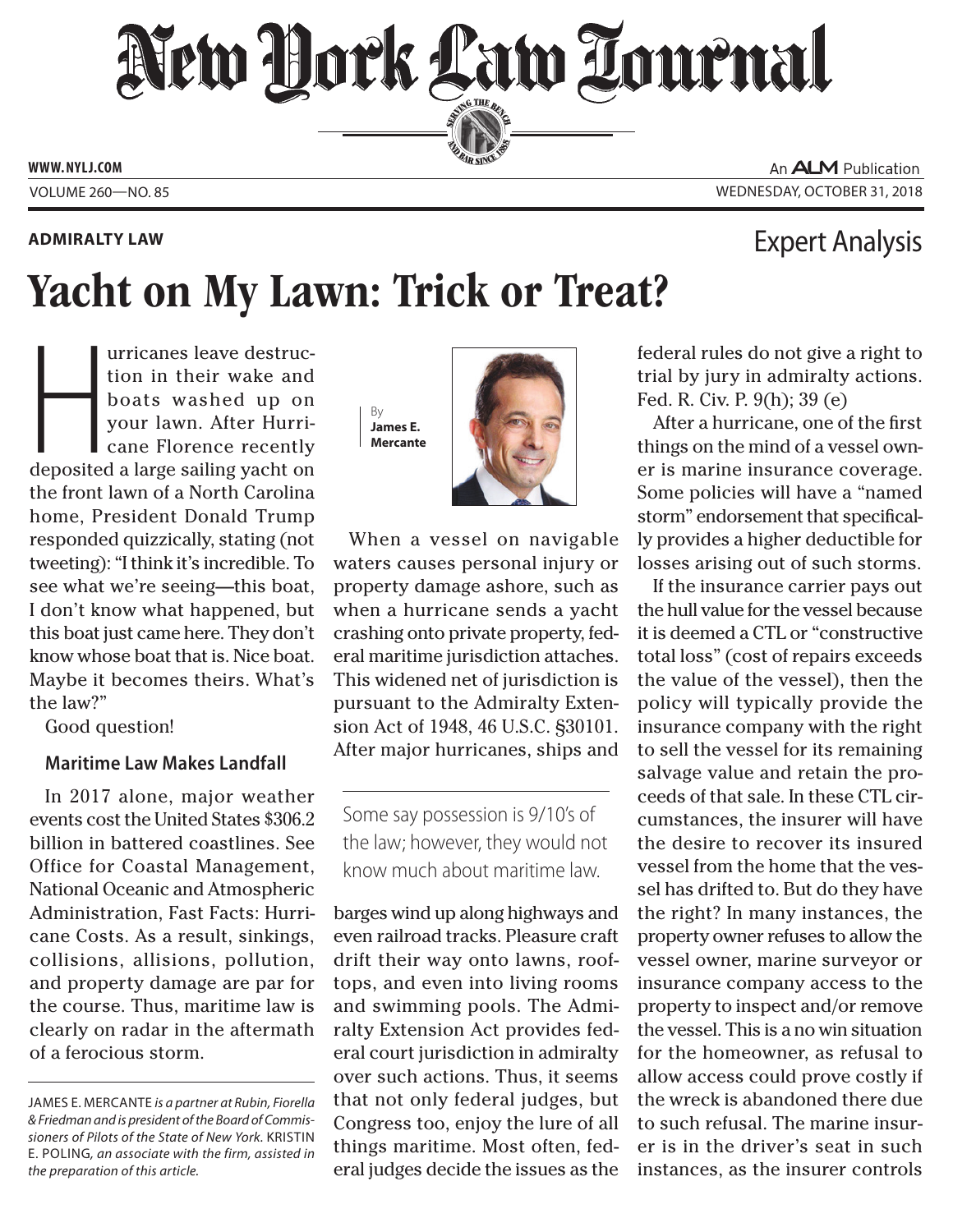# New Hork Law Lournal SERVING THE BEN

**ED BAR SINCE 188** 

**www. NYLJ.com**

## **Admiralty Law**

# An **ALM** Publication Volume 260—NO. 85 Wednesday, October 31, 2018

Expert Analysis

# Yacht on My Lawn: Trick or Treat?

urricanes leave destruction in their wake and<br>boats washed up on<br>your lawn. After Hurricane Florence recently<br>deposited a large sailing yacht on urricanes leave destruction in their wake and boats washed up on your lawn. After Hurricane Florence recently the front lawn of a North Carolina home, President Donald Trump responded quizzically, stating (not tweeting): "I think it's incredible. To see what we're seeing—this boat, I don't know what happened, but this boat just came here. They don't know whose boat that is. Nice boat. Maybe it becomes theirs. What's the law?"

Good question!

# **Maritime Law Makes Landfall**

In 2017 alone, major weather events cost the United States \$306.2 billion in battered coastlines. See Office for Coastal Management, National Oceanic and Atmospheric Administration, Fast Facts: Hurricane Costs. As a result, sinkings, collisions, allisions, pollution, and property damage are par for the course. Thus, maritime law is clearly on radar in the aftermath of a ferocious storm.

By **James E. Mercante**



When a vessel on navigable waters causes personal injury or property damage ashore, such as when a hurricane sends a yacht crashing onto private property, federal maritime jurisdiction attaches. This widened net of jurisdiction is pursuant to the Admiralty Extension Act of 1948, 46 U.S.C. §30101. After major hurricanes, ships and

Some say possession is 9/10's of the law; however, they would not know much about maritime law.

barges wind up along highways and even railroad tracks. Pleasure craft drift their way onto lawns, rooftops, and even into living rooms and swimming pools. The Admiralty Extension Act provides federal court jurisdiction in admiralty over such actions. Thus, it seems that not only federal judges, but Congress too, enjoy the lure of all things maritime. Most often, federal judges decide the issues as the federal rules do not give a right to trial by jury in admiralty actions. Fed. R. Civ. P. 9(h); 39 (e)

After a hurricane, one of the first things on the mind of a vessel owner is marine insurance coverage. Some policies will have a "named storm" endorsement that specifically provides a higher deductible for losses arising out of such storms.

If the insurance carrier pays out the hull value for the vessel because it is deemed a CTL or "constructive total loss" (cost of repairs exceeds the value of the vessel), then the policy will typically provide the insurance company with the right to sell the vessel for its remaining salvage value and retain the proceeds of that sale. In these CTL circumstances, the insurer will have the desire to recover its insured vessel from the home that the vessel has drifted to. But do they have the right? In many instances, the property owner refuses to allow the vessel owner, marine surveyor or insurance company access to the property to inspect and/or remove the vessel. This is a no win situation for the homeowner, as refusal to allow access could prove costly if the wreck is abandoned there due to such refusal. The marine insurer is in the driver's seat in such instances, as the insurer controls

James E. Mercante *is a partner at Rubin, Fiorella & Friedman and is president of the Board of Commissioners of Pilots of the State of New York.* Kristin E. Poling*, an associate with the firm, assisted in the preparation of this article.*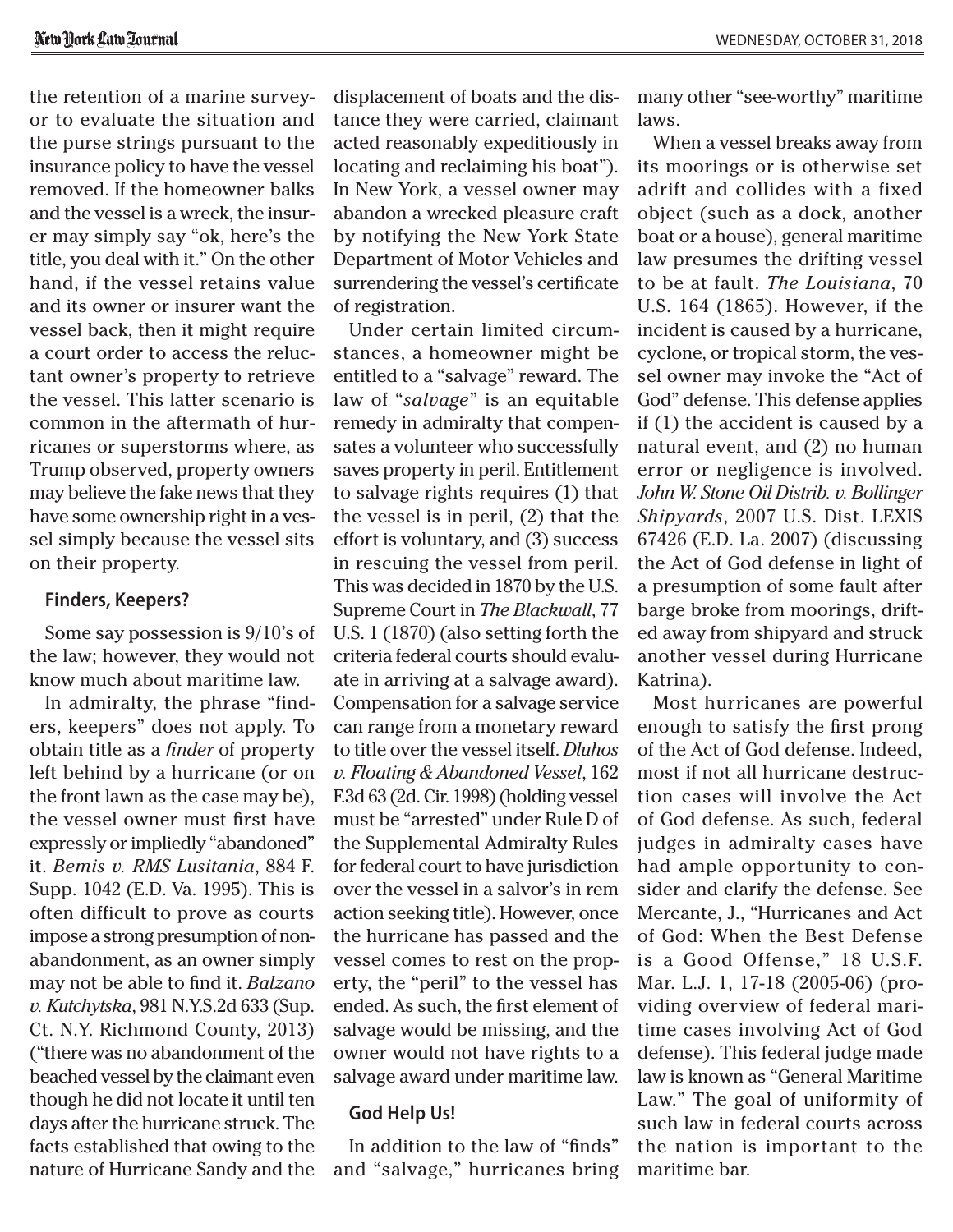the retention of a marine surveyor to evaluate the situation and the purse strings pursuant to the insurance policy to have the vessel removed. If the homeowner balks and the vessel is a wreck, the insurer may simply say "ok, here's the title, you deal with it." On the other hand, if the vessel retains value and its owner or insurer want the vessel back, then it might require a court order to access the reluctant owner's property to retrieve the vessel. This latter scenario is common in the aftermath of hurricanes or superstorms where, as Trump observed, property owners may believe the fake news that they have some ownership right in a vessel simply because the vessel sits on their property.

#### **Finders, Keepers?**

Some say possession is 9/10's of the law; however, they would not know much about maritime law.

In admiralty, the phrase "finders, keepers" does not apply. To obtain title as a *finder* of property left behind by a hurricane (or on the front lawn as the case may be), the vessel owner must first have expressly or impliedly "abandoned" it. *Bemis v. RMS Lusitania*, 884 F. Supp. 1042 (E.D. Va. 1995). This is often difficult to prove as courts impose a strong presumption of nonabandonment, as an owner simply may not be able to find it. *Balzano v. Kutchytska*, 981 N.Y.S.2d 633 (Sup. Ct. N.Y. Richmond County, 2013) ("there was no abandonment of the beached vessel by the claimant even though he did not locate it until ten days after the hurricane struck. The facts established that owing to the nature of Hurricane Sandy and the displacement of boats and the distance they were carried, claimant acted reasonably expeditiously in locating and reclaiming his boat"). In New York, a vessel owner may abandon a wrecked pleasure craft by notifying the New York State Department of Motor Vehicles and surrendering the vessel's certificate of registration.

Under certain limited circumstances, a homeowner might be entitled to a "salvage" reward. The law of "*salvage*" is an equitable remedy in admiralty that compensates a volunteer who successfully saves property in peril. Entitlement to salvage rights requires (1) that the vessel is in peril, (2) that the effort is voluntary, and (3) success in rescuing the vessel from peril. This was decided in 1870 by the U.S. Supreme Court in *The Blackwall*, 77 U.S. 1 (1870) (also setting forth the criteria federal courts should evaluate in arriving at a salvage award). Compensation for a salvage service can range from a monetary reward to title over the vessel itself. *Dluhos v. Floating & Abandoned Vessel*, 162 F.3d 63 (2d. Cir. 1998) (holding vessel must be "arrested" under Rule D of the Supplemental Admiralty Rules for federal court to have jurisdiction over the vessel in a salvor's in rem action seeking title). However, once the hurricane has passed and the vessel comes to rest on the property, the "peril" to the vessel has ended. As such, the first element of salvage would be missing, and the owner would not have rights to a salvage award under maritime law.

#### **God Help Us!**

In addition to the law of "finds" and "salvage," hurricanes bring many other "see-worthy" maritime laws.

When a vessel breaks away from its moorings or is otherwise set adrift and collides with a fixed object (such as a dock, another boat or a house), general maritime law presumes the drifting vessel to be at fault. *The Louisiana*, 70 U.S. 164 (1865). However, if the incident is caused by a hurricane, cyclone, or tropical storm, the vessel owner may invoke the "Act of God" defense. This defense applies if (1) the accident is caused by a natural event, and (2) no human error or negligence is involved. *John W. Stone Oil Distrib. v. Bollinger Shipyards*, 2007 U.S. Dist. LEXIS 67426 (E.D. La. 2007) (discussing the Act of God defense in light of a presumption of some fault after barge broke from moorings, drifted away from shipyard and struck another vessel during Hurricane Katrina).

Most hurricanes are powerful enough to satisfy the first prong of the Act of God defense. Indeed, most if not all hurricane destruction cases will involve the Act of God defense. As such, federal judges in admiralty cases have had ample opportunity to consider and clarify the defense. See Mercante, J., "Hurricanes and Act of God: When the Best Defense is a Good Offense," 18 U.S.F. Mar. L.J. 1, 17-18 (2005-06) (providing overview of federal maritime cases involving Act of God defense). This federal judge made law is known as "General Maritime Law." The goal of uniformity of such law in federal courts across the nation is important to the maritime bar.